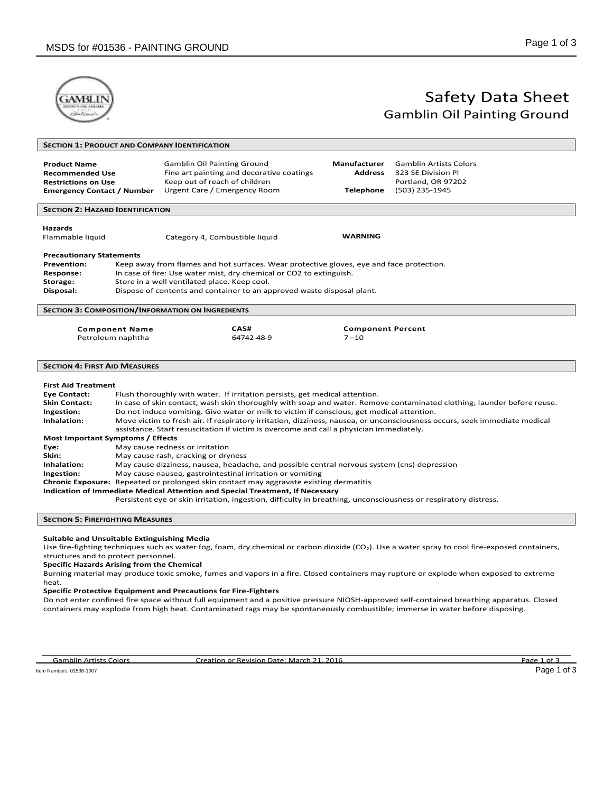

# Safety Data Sheet Gamblin Oil Painting Ground

|                                                                                                                                                                                                  |                                            | <b>SECTION 1: PRODUCT AND COMPANY IDENTIFICATION</b>                                                                                                                                                                                                                                                                                                                                                                                                                                                                                                                                                                                                                                                                                                                                                                                                                                                                                 |                                                    |                                                                                                                        |
|--------------------------------------------------------------------------------------------------------------------------------------------------------------------------------------------------|--------------------------------------------|--------------------------------------------------------------------------------------------------------------------------------------------------------------------------------------------------------------------------------------------------------------------------------------------------------------------------------------------------------------------------------------------------------------------------------------------------------------------------------------------------------------------------------------------------------------------------------------------------------------------------------------------------------------------------------------------------------------------------------------------------------------------------------------------------------------------------------------------------------------------------------------------------------------------------------------|----------------------------------------------------|------------------------------------------------------------------------------------------------------------------------|
| <b>Product Name</b><br><b>Recommended Use</b><br><b>Restrictions on Use</b><br><b>Emergency Contact / Number</b>                                                                                 |                                            | <b>Gamblin Oil Painting Ground</b><br>Fine art painting and decorative coatings<br>Keep out of reach of children<br>Urgent Care / Emergency Room                                                                                                                                                                                                                                                                                                                                                                                                                                                                                                                                                                                                                                                                                                                                                                                     | <b>Manufacturer</b><br>Address<br><b>Telephone</b> | <b>Gamblin Artists Colors</b><br>323 SE Division Pl<br>Portland, OR 97202<br>(503) 235-1945                            |
| <b>SECTION 2: HAZARD IDENTIFICATION</b>                                                                                                                                                          |                                            |                                                                                                                                                                                                                                                                                                                                                                                                                                                                                                                                                                                                                                                                                                                                                                                                                                                                                                                                      |                                                    |                                                                                                                        |
| <b>Hazards</b><br>Flammable liquid                                                                                                                                                               |                                            | Category 4, Combustible liquid                                                                                                                                                                                                                                                                                                                                                                                                                                                                                                                                                                                                                                                                                                                                                                                                                                                                                                       | <b>WARNING</b>                                     |                                                                                                                        |
| <b>Precautionary Statements</b><br><b>Prevention:</b><br><b>Response:</b><br>Storage:<br>Disposal:                                                                                               |                                            | Keep away from flames and hot surfaces. Wear protective gloves, eye and face protection.<br>In case of fire: Use water mist, dry chemical or CO2 to extinguish.<br>Store in a well ventilated place. Keep cool.<br>Dispose of contents and container to an approved waste disposal plant.                                                                                                                                                                                                                                                                                                                                                                                                                                                                                                                                                                                                                                            |                                                    |                                                                                                                        |
|                                                                                                                                                                                                  |                                            | <b>SECTION 3: COMPOSITION/INFORMATION ON INGREDIENTS</b>                                                                                                                                                                                                                                                                                                                                                                                                                                                                                                                                                                                                                                                                                                                                                                                                                                                                             |                                                    |                                                                                                                        |
|                                                                                                                                                                                                  | <b>Component Name</b><br>Petroleum naphtha | CAS#<br>64742-48-9                                                                                                                                                                                                                                                                                                                                                                                                                                                                                                                                                                                                                                                                                                                                                                                                                                                                                                                   | <b>Component Percent</b><br>$7 - 10$               |                                                                                                                        |
| <b>SECTION 4: FIRST AID MEASURES</b>                                                                                                                                                             |                                            |                                                                                                                                                                                                                                                                                                                                                                                                                                                                                                                                                                                                                                                                                                                                                                                                                                                                                                                                      |                                                    |                                                                                                                        |
| <b>First Aid Treatment</b><br><b>Eye Contact:</b><br><b>Skin Contact:</b><br>Ingestion:<br>Inhalation:<br><b>Most Important Symptoms / Effects</b><br>Eye:<br>Skin:<br>Inhalation:<br>Ingestion: |                                            | Flush thoroughly with water. If irritation persists, get medical attention.<br>Do not induce vomiting. Give water or milk to victim if conscious; get medical attention.<br>Move victim to fresh air. If respiratory irritation, dizziness, nausea, or unconsciousness occurs, seek immediate medical<br>assistance. Start resuscitation if victim is overcome and call a physician immediately.<br>May cause redness or irritation<br>May cause rash, cracking or dryness<br>May cause dizziness, nausea, headache, and possible central nervous system (cns) depression<br>May cause nausea, gastrointestinal irritation or vomiting<br>Chronic Exposure: Repeated or prolonged skin contact may aggravate existing dermatitis<br>Indication of Immediate Medical Attention and Special Treatment, If Necessary<br>Persistent eye or skin irritation, ingestion, difficulty in breathing, unconsciousness or respiratory distress. |                                                    | In case of skin contact, wash skin thoroughly with soap and water. Remove contaminated clothing; launder before reuse. |
| <b>SECTION 5: FIREFIGHTING MEASURES</b>                                                                                                                                                          |                                            |                                                                                                                                                                                                                                                                                                                                                                                                                                                                                                                                                                                                                                                                                                                                                                                                                                                                                                                                      |                                                    |                                                                                                                        |
| <b>Suitable and Unsuitable Extinguishing Media</b>                                                                                                                                               |                                            |                                                                                                                                                                                                                                                                                                                                                                                                                                                                                                                                                                                                                                                                                                                                                                                                                                                                                                                                      |                                                    |                                                                                                                        |

Use fire-fighting techniques such as water fog, foam, dry chemical or carbon dioxide (CO<sub>2</sub>). Use a water spray to cool fire-exposed containers, structures and to protect personnel.

## **Specific Hazards Arising from the Chemical**

Burning material may produce toxic smoke, fumes and vapors in a fire. Closed containers may rupture or explode when exposed to extreme heat.

### **Specific Protective Equipment and Precautions for Fire-Fighters**

Do not enter confined fire space without full equipment and a positive pressure NIOSH-approved self-contained breathing apparatus. Closed containers may explode from high heat. Contaminated rags may be spontaneously combustible; immerse in water before disposing.

Gamblin Artists Colors **Creation of Revision Date: March 21, 2016 Camblin Artists Colors** Page 1 of 3

Item Numbers: 01536-1007 Page 1 of 3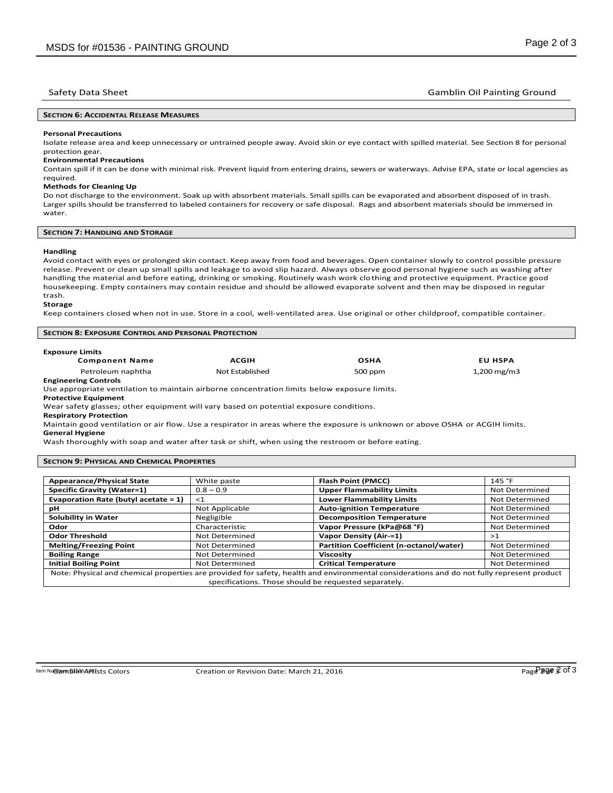## Safety Data Sheet Gamblin Oil Painting Ground

## **SECTION 6: ACCIDENTAL RELEASE MEASURES**

#### **Personal Precautions**

Isolate release area and keep unnecessary or untrained people away. Avoid skin or eye contact with spilled material. See Section 8 for personal protection gear.

## **Environmental Precautions**

Contain spill if it can be done with minimal risk. Prevent liquid from entering drains, sewers or waterways. Advise EPA, state or local agencies as required.

## **Methods for Cleaning Up**

Do not discharge to the environment. Soak up with absorbent materials. Small spills can be evaporated and absorbent disposed of in trash. Larger spills should be transferred to labeled containers for recovery or safe disposal. Rags and absorbent materials should be immersed in water.

## **SECTION 7: HANDLING AND STORAGE**

## **Handling**

Avoid contact with eyes or prolonged skin contact. Keep away from food and beverages. Open container slowly to control possible pressure release. Prevent or clean up small spills and leakage to avoid slip hazard. Always observe good personal hygiene such as washing after handling the material and before eating, drinking or smoking. Routinely wash work clothing and protective equipment. Practice good housekeeping. Empty containers may contain residue and should be allowed evaporate solvent and then may be disposed in regular trash.

#### **Storage**

Keep containers closed when not in use. Store in a cool, well-ventilated area. Use original or other childproof, compatible container.

#### **SECTION 8: EXPOSURE CONTROL AND PERSONAL PROTECTION**

| <b>Exposure Limits</b>      |                 |             |                |
|-----------------------------|-----------------|-------------|----------------|
| <b>Component Name</b>       | <b>ACGIH</b>    | <b>OSHA</b> | <b>EU HSPA</b> |
| Petroleum naphtha           | Not Established | 500 ppm     | 1,200 mg/m3    |
| <b>Engineering Controls</b> |                 |             |                |

## **Engineering Controls**

Use appropriate ventilation to maintain airborne concentration limits below exposure limits.

**Protective Equipment** 

Wear safety glasses; other equipment will vary based on potential exposure conditions.

**Respiratory Protection** 

Maintain good ventilation or air flow. Use a respirator in areas where the exposure is unknown or above OSHA or ACGIH limits. **General Hygiene** 

Wash thoroughly with soap and water after task or shift, when using the restroom or before eating.

## **SECTION 9: PHYSICAL AND CHEMICAL PROPERTIES**

| <b>Appearance/Physical State</b>        | White paste                                           | <b>Flash Point (PMCC)</b>                                                                                                                  | 145 °F         |
|-----------------------------------------|-------------------------------------------------------|--------------------------------------------------------------------------------------------------------------------------------------------|----------------|
| <b>Specific Gravity (Water=1)</b>       | $0.8 - 0.9$                                           | <b>Upper Flammability Limits</b>                                                                                                           | Not Determined |
| Evaporation Rate (butyl acetate $= 1$ ) | $\leq 1$                                              | <b>Lower Flammability Limits</b>                                                                                                           | Not Determined |
| pН                                      | Not Applicable                                        | <b>Auto-ignition Temperature</b>                                                                                                           | Not Determined |
| Solubility in Water                     | Negligible                                            | <b>Decomposition Temperature</b>                                                                                                           | Not Determined |
| Odor                                    | Characteristic                                        | Vapor Pressure (kPa@68 °F)                                                                                                                 | Not Determined |
| <b>Odor Threshold</b>                   | Not Determined                                        | Vapor Density (Air-=1)                                                                                                                     | >1             |
| <b>Melting/Freezing Point</b>           | Not Determined                                        | Partition Coefficient (n-octanol/water)                                                                                                    | Not Determined |
| <b>Boiling Range</b>                    | Not Determined                                        | <b>Viscosity</b>                                                                                                                           | Not Determined |
| <b>Initial Boiling Point</b>            | Not Determined                                        | <b>Critical Temperature</b>                                                                                                                | Not Determined |
|                                         |                                                       | Note: Physical and chemical properties are provided for safety, health and environmental considerations and do not fully represent product |                |
|                                         | specifications. Those should be requested separately. |                                                                                                                                            |                |